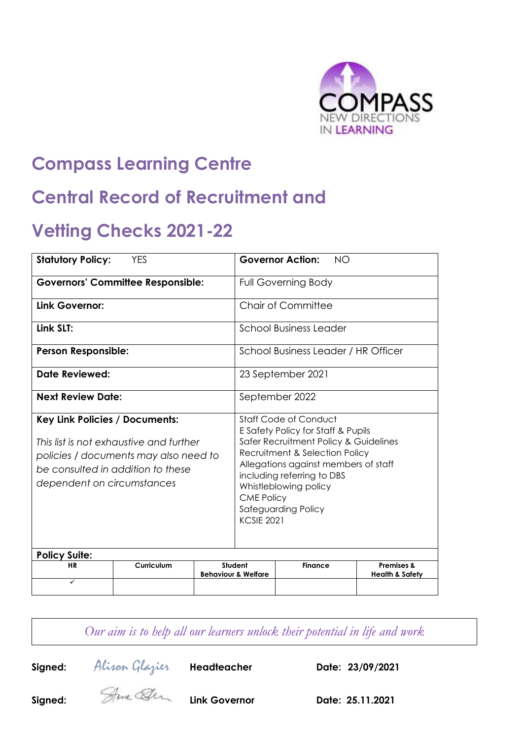

# **Compass Learning Centre**

# **Central Record of Recruitment and**

# **Vetting Checks 2021-22**

| <b>Statutory Policy:</b><br><b>YES</b>                                                                                                                                                |            | <b>Governor Action:</b><br><b>NO</b> |                                                                                                                                                                                                                                                                                                        |                |                            |
|---------------------------------------------------------------------------------------------------------------------------------------------------------------------------------------|------------|--------------------------------------|--------------------------------------------------------------------------------------------------------------------------------------------------------------------------------------------------------------------------------------------------------------------------------------------------------|----------------|----------------------------|
| <b>Governors' Committee Responsible:</b>                                                                                                                                              |            | <b>Full Governing Body</b>           |                                                                                                                                                                                                                                                                                                        |                |                            |
| Link Governor:                                                                                                                                                                        |            |                                      | Chair of Committee                                                                                                                                                                                                                                                                                     |                |                            |
| Link SLT:                                                                                                                                                                             |            |                                      | <b>School Business Leader</b>                                                                                                                                                                                                                                                                          |                |                            |
| <b>Person Responsible:</b>                                                                                                                                                            |            |                                      | School Business Leader / HR Officer                                                                                                                                                                                                                                                                    |                |                            |
| Date Reviewed:                                                                                                                                                                        |            |                                      | 23 September 2021                                                                                                                                                                                                                                                                                      |                |                            |
| <b>Next Review Date:</b>                                                                                                                                                              |            |                                      | September 2022                                                                                                                                                                                                                                                                                         |                |                            |
| Key Link Policies / Documents:<br>This list is not exhaustive and further<br>policies / documents may also need to<br>be consulted in addition to these<br>dependent on circumstances |            |                                      | Staff Code of Conduct<br>E Safety Policy for Staff & Pupils<br>Safer Recruitment Policy & Guidelines<br>Recruitment & Selection Policy<br>Allegations against members of staff<br>including referring to DBS<br>Whistleblowing policy<br><b>CME Policy</b><br>Safeguarding Policy<br><b>KCSIE 2021</b> |                |                            |
| <b>Policy Suite:</b><br><b>HR</b>                                                                                                                                                     | Curriculum |                                      | Student                                                                                                                                                                                                                                                                                                | <b>Finance</b> | <b>Premises &amp;</b>      |
| $\checkmark$                                                                                                                                                                          |            |                                      | <b>Behaviour &amp; Welfare</b>                                                                                                                                                                                                                                                                         |                | <b>Health &amp; Safety</b> |

*Our aim is to help all our learners unlock their potential in life and work*

**Signed:** Alison Glazier **Headteacher Date: 23/09/2021**

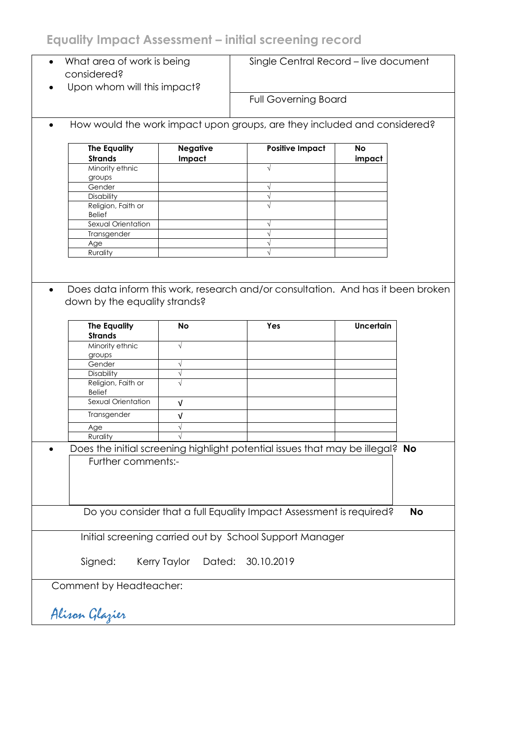# **Equality Impact Assessment – initial screening record**

| What area of work is being<br>$\bullet$<br>considered? |                           | Single Central Record - live document                                         |                     |           |
|--------------------------------------------------------|---------------------------|-------------------------------------------------------------------------------|---------------------|-----------|
| Upon whom will this impact?                            |                           | <b>Full Governing Board</b>                                                   |                     |           |
|                                                        |                           | How would the work impact upon groups, are they included and considered?      |                     |           |
| <b>The Equality</b><br><b>Strands</b>                  | <b>Negative</b><br>Impact | <b>Positive Impact</b>                                                        | <b>No</b><br>impact |           |
| Minority ethnic<br>groups                              |                           |                                                                               |                     |           |
| Gender                                                 |                           | $\sqrt{ }$                                                                    |                     |           |
| <b>Disability</b>                                      |                           | $\sqrt{}$                                                                     |                     |           |
| Religion, Faith or<br><b>Belief</b>                    |                           |                                                                               |                     |           |
| Sexual Orientation                                     |                           |                                                                               |                     |           |
| Transgender                                            |                           | V                                                                             |                     |           |
| Age<br>Rurality                                        |                           | $\sqrt{ }$                                                                    |                     |           |
|                                                        |                           |                                                                               |                     |           |
| down by the equality strands?<br><b>The Equality</b>   | <b>No</b>                 | Yes                                                                           | <b>Uncertain</b>    |           |
| <b>Strands</b>                                         |                           |                                                                               |                     |           |
| Minority ethnic                                        | $\sqrt{}$                 |                                                                               |                     |           |
| groups<br>Gender                                       |                           |                                                                               |                     |           |
| Disability                                             | $\sqrt{}$<br>$\sqrt{}$    |                                                                               |                     |           |
| Religion, Faith or<br><b>Belief</b>                    | $\sqrt{ }$                |                                                                               |                     |           |
| Sexual Orientation                                     | V                         |                                                                               |                     |           |
| Transgender                                            | V                         |                                                                               |                     |           |
| Age                                                    | $\sqrt{}$                 |                                                                               |                     |           |
| Rurality                                               |                           |                                                                               |                     |           |
|                                                        |                           | Does the initial screening highlight potential issues that may be illegal? No |                     |           |
| Further comments:-                                     |                           |                                                                               |                     |           |
|                                                        |                           | Do you consider that a full Equality Impact Assessment is required?           |                     | <b>No</b> |
|                                                        |                           | Initial screening carried out by School Support Manager                       |                     |           |
| Signed:                                                | Dated:<br>Kerry Taylor    | 30.10.2019                                                                    |                     |           |
| Comment by Headteacher:                                |                           |                                                                               |                     |           |
| Alisan Glazier                                         |                           |                                                                               |                     |           |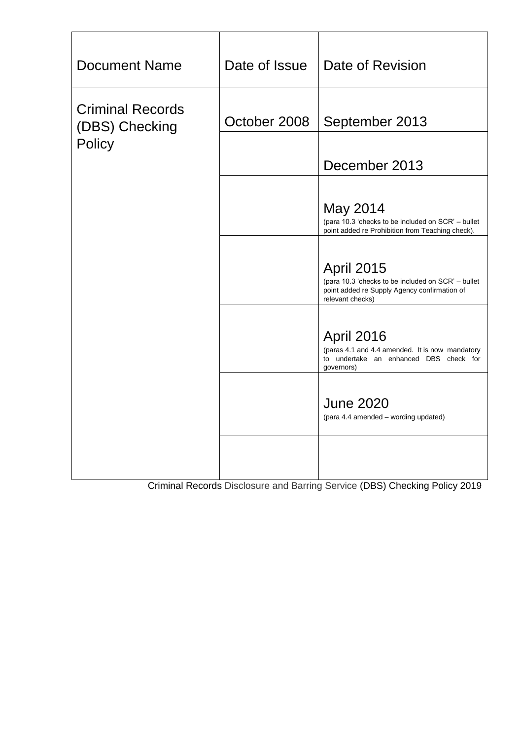| <b>Document Name</b>                                | Date of Issue | Date of Revision                                                                                                                            |
|-----------------------------------------------------|---------------|---------------------------------------------------------------------------------------------------------------------------------------------|
| <b>Criminal Records</b><br>(DBS) Checking<br>Policy | October 2008  | September 2013                                                                                                                              |
|                                                     |               | December 2013                                                                                                                               |
|                                                     |               | May 2014<br>(para 10.3 'checks to be included on SCR' – bullet<br>point added re Prohibition from Teaching check).                          |
|                                                     |               | <b>April 2015</b><br>(para 10.3 'checks to be included on SCR' - bullet<br>point added re Supply Agency confirmation of<br>relevant checks) |
|                                                     |               | April 2016<br>(paras 4.1 and 4.4 amended. It is now mandatory<br>to undertake an enhanced DBS check for<br>governors)                       |
|                                                     |               | <b>June 2020</b><br>(para 4.4 amended – wording updated)                                                                                    |
|                                                     |               |                                                                                                                                             |

Criminal Records Disclosure and Barring Service (DBS) Checking Policy 2019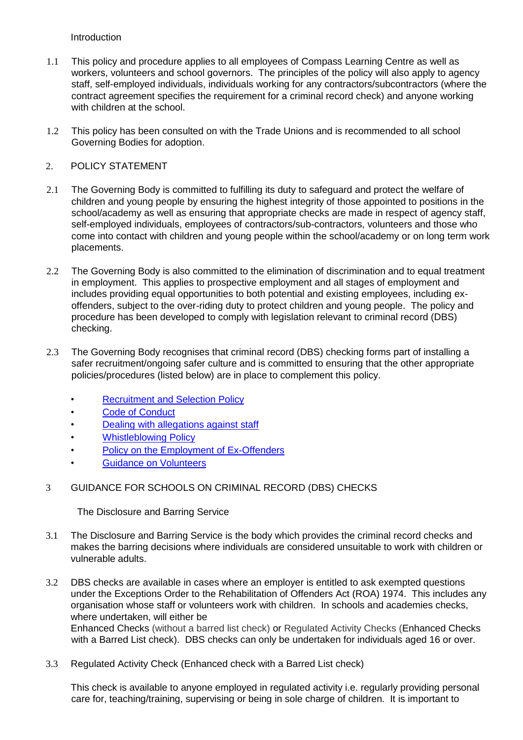Introduction

- 1.1 This policy and procedure applies to all employees of Compass Learning Centre as well as workers, volunteers and school governors. The principles of the policy will also apply to agency staff, self-employed individuals, individuals working for any contractors/subcontractors (where the contract agreement specifies the requirement for a criminal record check) and anyone working with children at the school.
- 1.2 This policy has been consulted on with the Trade Unions and is recommended to all school Governing Bodies for adoption.

# 2. POLICY STATEMENT

- 2.1 The Governing Body is committed to fulfilling its duty to safeguard and protect the welfare of children and young people by ensuring the highest integrity of those appointed to positions in the school/academy as well as ensuring that appropriate checks are made in respect of agency staff, self-employed individuals, employees of contractors/sub-contractors, volunteers and those who come into contact with children and young people within the school/academy or on long term work placements.
- 2.2 The Governing Body is also committed to the elimination of discrimination and to equal treatment in employment. This applies to prospective employment and all stages of employment and includes providing equal opportunities to both potential and existing employees, including exoffenders, subject to the over-riding duty to protect children and young people. The policy and procedure has been developed to comply with legislation relevant to criminal record (DBS) checking.
- 2.3 The Governing Body recognises that criminal record (DBS) checking forms part of installing a safer recruitment/ongoing safer culture and is committed to ensuring that the other appropriate policies/procedures (listed below) are in place to complement this policy.
	- Recruitment and Selection Policy
	- Code of Conduct
	- Dealing with allegations against staff
	- **Whistleblowing Policy**
	- Policy on the Employment of Ex-Offenders
	- Guidance on Volunteers
- 3 GUIDANCE FOR SCHOOLS ON CRIMINAL RECORD (DBS) CHECKS

The Disclosure and Barring Service

- 3.1 The Disclosure and Barring Service is the body which provides the criminal record checks and makes the barring decisions where individuals are considered unsuitable to work with children or vulnerable adults.
- 3.2 DBS checks are available in cases where an employer is entitled to ask exempted questions under the Exceptions Order to the Rehabilitation of Offenders Act (ROA) 1974. This includes any organisation whose staff or volunteers work with children. In schools and academies checks, where undertaken, will either be Enhanced Checks (without a barred list check) or Regulated Activity Checks (Enhanced Checks with a Barred List check). DBS checks can only be undertaken for individuals aged 16 or over.
- 3.3 Regulated Activity Check (Enhanced check with a Barred List check)

This check is available to anyone employed in regulated activity i.e. regularly providing personal care for, teaching/training, supervising or being in sole charge of children. It is important to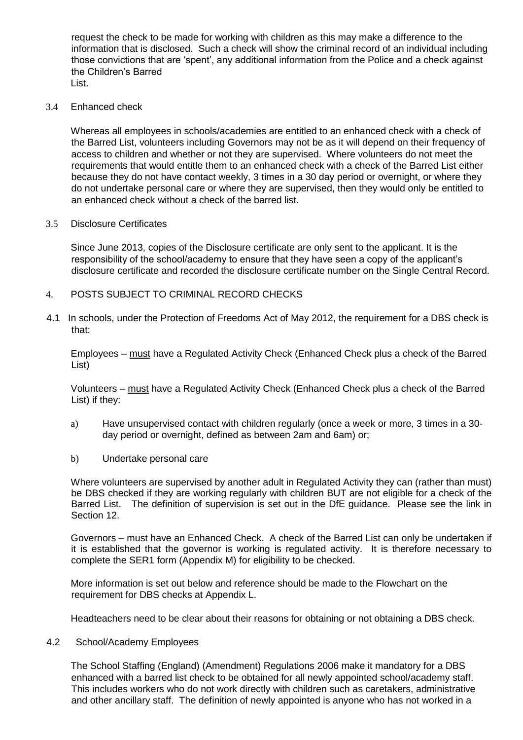request the check to be made for working with children as this may make a difference to the information that is disclosed. Such a check will show the criminal record of an individual including those convictions that are 'spent', any additional information from the Police and a check against the Children's Barred List.

3.4 Enhanced check

Whereas all employees in schools/academies are entitled to an enhanced check with a check of the Barred List, volunteers including Governors may not be as it will depend on their frequency of access to children and whether or not they are supervised. Where volunteers do not meet the requirements that would entitle them to an enhanced check with a check of the Barred List either because they do not have contact weekly, 3 times in a 30 day period or overnight, or where they do not undertake personal care or where they are supervised, then they would only be entitled to an enhanced check without a check of the barred list.

#### 3.5 Disclosure Certificates

Since June 2013, copies of the Disclosure certificate are only sent to the applicant. It is the responsibility of the school/academy to ensure that they have seen a copy of the applicant's disclosure certificate and recorded the disclosure certificate number on the Single Central Record.

- 4. POSTS SUBJECT TO CRIMINAL RECORD CHECKS
- 4.1 In schools, under the Protection of Freedoms Act of May 2012, the requirement for a DBS check is that:

Employees – must have a Regulated Activity Check (Enhanced Check plus a check of the Barred List)

Volunteers – must have a Regulated Activity Check (Enhanced Check plus a check of the Barred List) if they:

- a) Have unsupervised contact with children regularly (once a week or more, 3 times in a 30 day period or overnight, defined as between 2am and 6am) or;
- b) Undertake personal care

Where volunteers are supervised by another adult in Regulated Activity they can (rather than must) be DBS checked if they are working regularly with children BUT are not eligible for a check of the Barred List. The definition of supervision is set out in the DfE guidance. Please see the link in Section 12.

Governors – must have an Enhanced Check. A check of the Barred List can only be undertaken if it is established that the governor is working is regulated activity. It is therefore necessary to complete the SER1 form (Appendix M) for eligibility to be checked.

More information is set out below and reference should be made to the Flowchart on the requirement for DBS checks at Appendix L.

Headteachers need to be clear about their reasons for obtaining or not obtaining a DBS check.

# 4.2 School/Academy Employees

The School Staffing (England) (Amendment) Regulations 2006 make it mandatory for a DBS enhanced with a barred list check to be obtained for all newly appointed school/academy staff. This includes workers who do not work directly with children such as caretakers, administrative and other ancillary staff. The definition of newly appointed is anyone who has not worked in a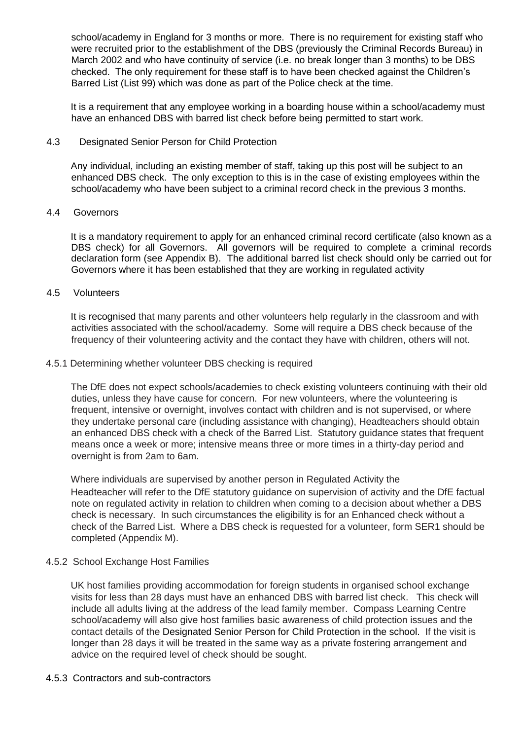school/academy in England for 3 months or more. There is no requirement for existing staff who were recruited prior to the establishment of the DBS (previously the Criminal Records Bureau) in March 2002 and who have continuity of service (i.e. no break longer than 3 months) to be DBS checked. The only requirement for these staff is to have been checked against the Children's Barred List (List 99) which was done as part of the Police check at the time.

It is a requirement that any employee working in a boarding house within a school/academy must have an enhanced DBS with barred list check before being permitted to start work.

# 4.3 Designated Senior Person for Child Protection

Any individual, including an existing member of staff, taking up this post will be subject to an enhanced DBS check. The only exception to this is in the case of existing employees within the school/academy who have been subject to a criminal record check in the previous 3 months.

#### 4.4 Governors

It is a mandatory requirement to apply for an enhanced criminal record certificate (also known as a DBS check) for all Governors. All governors will be required to complete a criminal records declaration form (see Appendix B). The additional barred list check should only be carried out for Governors where it has been established that they are working in regulated activity

#### 4.5 Volunteers

It is recognised that many parents and other volunteers help regularly in the classroom and with activities associated with the school/academy. Some will require a DBS check because of the frequency of their volunteering activity and the contact they have with children, others will not.

#### 4.5.1 Determining whether volunteer DBS checking is required

The DfE does not expect schools/academies to check existing volunteers continuing with their old duties, unless they have cause for concern. For new volunteers, where the volunteering is frequent, intensive or overnight, involves contact with children and is not supervised, or where they undertake personal care (including assistance with changing), Headteachers should obtain an enhanced DBS check with a check of the Barred List. Statutory guidance states that frequent means once a week or more; intensive means three or more times in a thirty-day period and overnight is from 2am to 6am.

Where individuals are supervised by another person in Regulated Activity the Headteacher will refer to the DfE statutory guidance on supervision of activity and the DfE factual note on regulated activity in relation to children when coming to a decision about whether a DBS check is necessary. In such circumstances the eligibility is for an Enhanced check without a check of the Barred List. Where a DBS check is requested for a volunteer, form SER1 should be completed (Appendix M).

# 4.5.2 School Exchange Host Families

UK host families providing accommodation for foreign students in organised school exchange visits for less than 28 days must have an enhanced DBS with barred list check. This check will include all adults living at the address of the lead family member. Compass Learning Centre school/academy will also give host families basic awareness of child protection issues and the contact details of the Designated Senior Person for Child Protection in the school. If the visit is longer than 28 days it will be treated in the same way as a private fostering arrangement and advice on the required level of check should be sought.

#### 4.5.3 Contractors and sub-contractors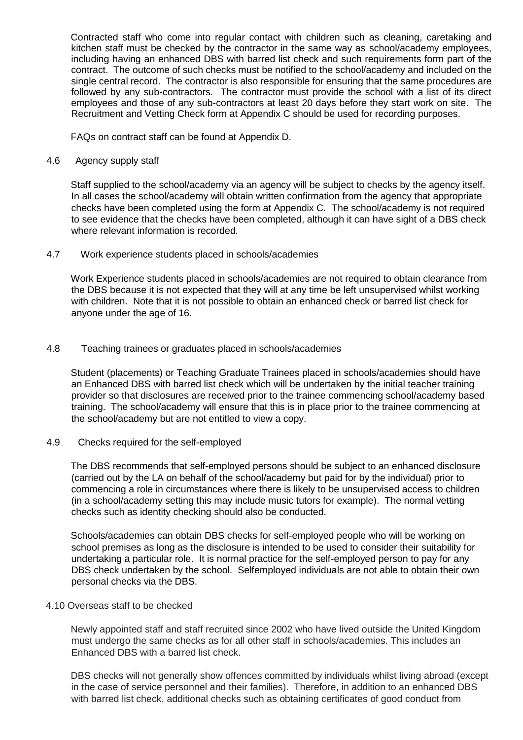Contracted staff who come into regular contact with children such as cleaning, caretaking and kitchen staff must be checked by the contractor in the same way as school/academy employees, including having an enhanced DBS with barred list check and such requirements form part of the contract. The outcome of such checks must be notified to the school/academy and included on the single central record. The contractor is also responsible for ensuring that the same procedures are followed by any sub-contractors. The contractor must provide the school with a list of its direct employees and those of any sub-contractors at least 20 days before they start work on site. The Recruitment and Vetting Check form at Appendix C should be used for recording purposes.

FAQs on contract staff can be found at Appendix D.

4.6 Agency supply staff

Staff supplied to the school/academy via an agency will be subject to checks by the agency itself. In all cases the school/academy will obtain written confirmation from the agency that appropriate checks have been completed using the form at Appendix C. The school/academy is not required to see evidence that the checks have been completed, although it can have sight of a DBS check where relevant information is recorded.

4.7 Work experience students placed in schools/academies

Work Experience students placed in schools/academies are not required to obtain clearance from the DBS because it is not expected that they will at any time be left unsupervised whilst working with children. Note that it is not possible to obtain an enhanced check or barred list check for anyone under the age of 16.

#### 4.8 Teaching trainees or graduates placed in schools/academies

Student (placements) or Teaching Graduate Trainees placed in schools/academies should have an Enhanced DBS with barred list check which will be undertaken by the initial teacher training provider so that disclosures are received prior to the trainee commencing school/academy based training. The school/academy will ensure that this is in place prior to the trainee commencing at the school/academy but are not entitled to view a copy.

4.9 Checks required for the self-employed

The DBS recommends that self-employed persons should be subject to an enhanced disclosure (carried out by the LA on behalf of the school/academy but paid for by the individual) prior to commencing a role in circumstances where there is likely to be unsupervised access to children (in a school/academy setting this may include music tutors for example). The normal vetting checks such as identity checking should also be conducted.

Schools/academies can obtain DBS checks for self-employed people who will be working on school premises as long as the disclosure is intended to be used to consider their suitability for undertaking a particular role. It is normal practice for the self-employed person to pay for any DBS check undertaken by the school. Selfemployed individuals are not able to obtain their own personal checks via the DBS.

#### 4.10 Overseas staff to be checked

Newly appointed staff and staff recruited since 2002 who have lived outside the United Kingdom must undergo the same checks as for all other staff in schools/academies. This includes an Enhanced DBS with a barred list check.

DBS checks will not generally show offences committed by individuals whilst living abroad (except in the case of service personnel and their families). Therefore, in addition to an enhanced DBS with barred list check, additional checks such as obtaining certificates of good conduct from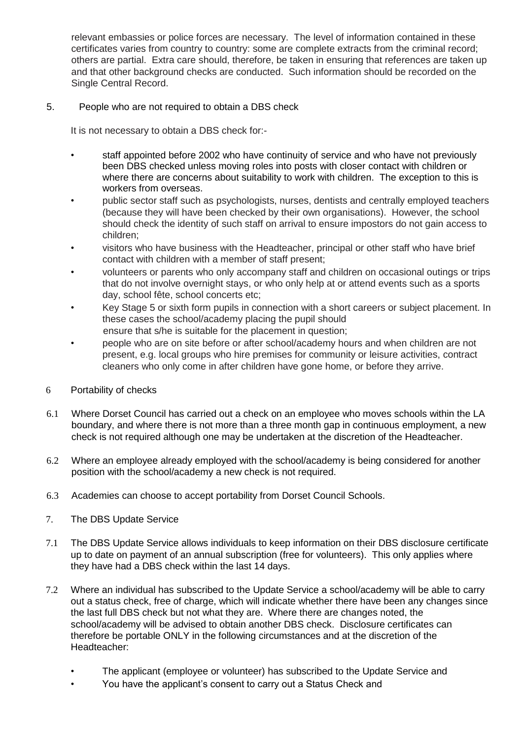relevant embassies or police forces are necessary. The level of information contained in these certificates varies from country to country: some are complete extracts from the criminal record; others are partial. Extra care should, therefore, be taken in ensuring that references are taken up and that other background checks are conducted. Such information should be recorded on the Single Central Record.

# 5. People who are not required to obtain a DBS check

It is not necessary to obtain a DBS check for:-

- staff appointed before 2002 who have continuity of service and who have not previously been DBS checked unless moving roles into posts with closer contact with children or where there are concerns about suitability to work with children. The exception to this is workers from overseas.
- public sector staff such as psychologists, nurses, dentists and centrally employed teachers (because they will have been checked by their own organisations). However, the school should check the identity of such staff on arrival to ensure impostors do not gain access to children;
- visitors who have business with the Headteacher, principal or other staff who have brief contact with children with a member of staff present;
- volunteers or parents who only accompany staff and children on occasional outings or trips that do not involve overnight stays, or who only help at or attend events such as a sports day, school fête, school concerts etc;
- Key Stage 5 or sixth form pupils in connection with a short careers or subject placement. In these cases the school/academy placing the pupil should ensure that s/he is suitable for the placement in question;
- people who are on site before or after school/academy hours and when children are not present, e.g. local groups who hire premises for community or leisure activities, contract cleaners who only come in after children have gone home, or before they arrive.
- 6 Portability of checks
- 6.1 Where Dorset Council has carried out a check on an employee who moves schools within the LA boundary, and where there is not more than a three month gap in continuous employment, a new check is not required although one may be undertaken at the discretion of the Headteacher.
- 6.2 Where an employee already employed with the school/academy is being considered for another position with the school/academy a new check is not required.
- 6.3 Academies can choose to accept portability from Dorset Council Schools.
- 7. The DBS Update Service
- 7.1 The DBS Update Service allows individuals to keep information on their DBS disclosure certificate up to date on payment of an annual subscription (free for volunteers). This only applies where they have had a DBS check within the last 14 days.
- 7.2 Where an individual has subscribed to the Update Service a school/academy will be able to carry out a status check, free of charge, which will indicate whether there have been any changes since the last full DBS check but not what they are. Where there are changes noted, the school/academy will be advised to obtain another DBS check. Disclosure certificates can therefore be portable ONLY in the following circumstances and at the discretion of the Headteacher:
	- The applicant (employee or volunteer) has subscribed to the Update Service and
	- You have the applicant's consent to carry out a Status Check and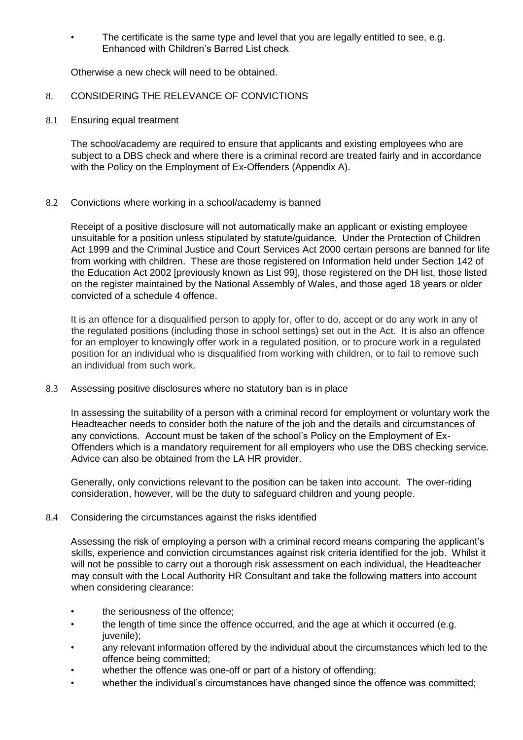The certificate is the same type and level that you are legally entitled to see, e.g. Enhanced with Children's Barred List check

Otherwise a new check will need to be obtained.

# 8. CONSIDERING THE RELEVANCE OF CONVICTIONS

8.1 Ensuring equal treatment

The school/academy are required to ensure that applicants and existing employees who are subject to a DBS check and where there is a criminal record are treated fairly and in accordance with the Policy on the Employment of Ex-Offenders (Appendix A).

# 8.2 Convictions where working in a school/academy is banned

Receipt of a positive disclosure will not automatically make an applicant or existing employee unsuitable for a position unless stipulated by statute/guidance. Under the Protection of Children Act 1999 and the Criminal Justice and Court Services Act 2000 certain persons are banned for life from working with children. These are those registered on Information held under Section 142 of the Education Act 2002 [previously known as List 99], those registered on the DH list, those listed on the register maintained by the National Assembly of Wales, and those aged 18 years or older convicted of a schedule 4 offence.

It is an offence for a disqualified person to apply for, offer to do, accept or do any work in any of the regulated positions (including those in school settings) set out in the Act. It is also an offence for an employer to knowingly offer work in a regulated position, or to procure work in a regulated position for an individual who is disqualified from working with children, or to fail to remove such an individual from such work.

8.3 Assessing positive disclosures where no statutory ban is in place

In assessing the suitability of a person with a criminal record for employment or voluntary work the Headteacher needs to consider both the nature of the job and the details and circumstances of any convictions. Account must be taken of the school's Policy on the Employment of Ex-Offenders which is a mandatory requirement for all employers who use the DBS checking service. Advice can also be obtained from the LA HR provider.

Generally, only convictions relevant to the position can be taken into account. The over-riding consideration, however, will be the duty to safeguard children and young people.

# 8.4 Considering the circumstances against the risks identified

Assessing the risk of employing a person with a criminal record means comparing the applicant's skills, experience and conviction circumstances against risk criteria identified for the job. Whilst it will not be possible to carry out a thorough risk assessment on each individual, the Headteacher may consult with the Local Authority HR Consultant and take the following matters into account when considering clearance:

- the seriousness of the offence:
- the length of time since the offence occurred, and the age at which it occurred (e.g. juvenile);
- any relevant information offered by the individual about the circumstances which led to the offence being committed;
- whether the offence was one-off or part of a history of offending;
- whether the individual's circumstances have changed since the offence was committed;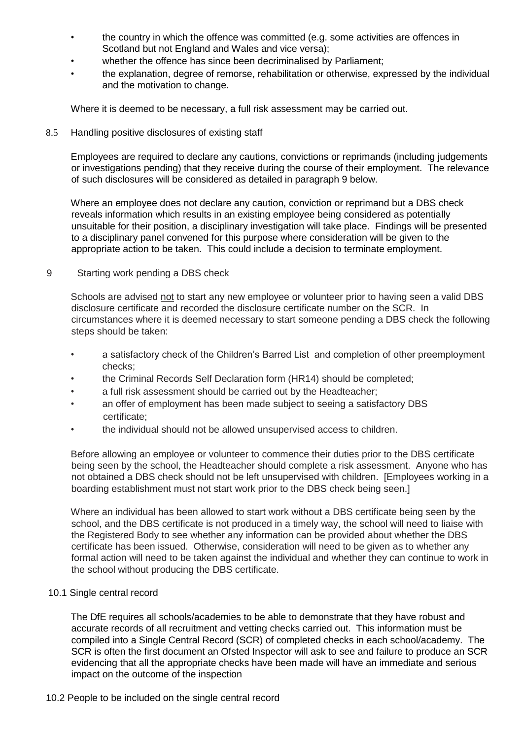- the country in which the offence was committed (e.g. some activities are offences in Scotland but not England and Wales and vice versa);
- whether the offence has since been decriminalised by Parliament;
- the explanation, degree of remorse, rehabilitation or otherwise, expressed by the individual and the motivation to change.

Where it is deemed to be necessary, a full risk assessment may be carried out.

### 8.5 Handling positive disclosures of existing staff

Employees are required to declare any cautions, convictions or reprimands (including judgements or investigations pending) that they receive during the course of their employment. The relevance of such disclosures will be considered as detailed in paragraph 9 below.

Where an employee does not declare any caution, conviction or reprimand but a DBS check reveals information which results in an existing employee being considered as potentially unsuitable for their position, a disciplinary investigation will take place. Findings will be presented to a disciplinary panel convened for this purpose where consideration will be given to the appropriate action to be taken. This could include a decision to terminate employment.

# 9 Starting work pending a DBS check

Schools are advised not to start any new employee or volunteer prior to having seen a valid DBS disclosure certificate and recorded the disclosure certificate number on the SCR. In circumstances where it is deemed necessary to start someone pending a DBS check the following steps should be taken:

- a satisfactory check of the Children's Barred List and completion of other preemployment checks;
- the Criminal Records Self Declaration form (HR14) should be completed;
- a full risk assessment should be carried out by the Headteacher;
- an offer of employment has been made subject to seeing a satisfactory DBS certificate;
- the individual should not be allowed unsupervised access to children.

Before allowing an employee or volunteer to commence their duties prior to the DBS certificate being seen by the school, the Headteacher should complete a risk assessment. Anyone who has not obtained a DBS check should not be left unsupervised with children. [Employees working in a boarding establishment must not start work prior to the DBS check being seen.]

Where an individual has been allowed to start work without a DBS certificate being seen by the school, and the DBS certificate is not produced in a timely way, the school will need to liaise with the Registered Body to see whether any information can be provided about whether the DBS certificate has been issued. Otherwise, consideration will need to be given as to whether any formal action will need to be taken against the individual and whether they can continue to work in the school without producing the DBS certificate.

# 10.1 Single central record

The DfE requires all schools/academies to be able to demonstrate that they have robust and accurate records of all recruitment and vetting checks carried out. This information must be compiled into a Single Central Record (SCR) of completed checks in each school/academy. The SCR is often the first document an Ofsted Inspector will ask to see and failure to produce an SCR evidencing that all the appropriate checks have been made will have an immediate and serious impact on the outcome of the inspection

#### 10.2 People to be included on the single central record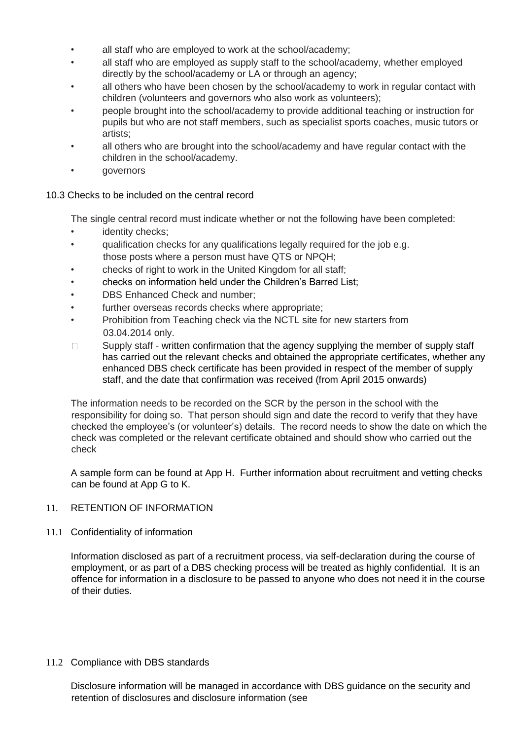- all staff who are employed to work at the school/academy;
- all staff who are employed as supply staff to the school/academy, whether employed directly by the school/academy or LA or through an agency;
- all others who have been chosen by the school/academy to work in regular contact with children (volunteers and governors who also work as volunteers);
- people brought into the school/academy to provide additional teaching or instruction for pupils but who are not staff members, such as specialist sports coaches, music tutors or artists;
- all others who are brought into the school/academy and have regular contact with the children in the school/academy.
- governors

# 10.3 Checks to be included on the central record

The single central record must indicate whether or not the following have been completed:

- identity checks;
- qualification checks for any qualifications legally required for the job e.g. those posts where a person must have QTS or NPQH;
- checks of right to work in the United Kingdom for all staff;
- checks on information held under the Children's Barred List;
- DBS Enhanced Check and number;
- further overseas records checks where appropriate;
- Prohibition from Teaching check via the NCTL site for new starters from 03.04.2014 only.
- Supply staff written confirmation that the agency supplying the member of supply staff  $\Box$ has carried out the relevant checks and obtained the appropriate certificates, whether any enhanced DBS check certificate has been provided in respect of the member of supply staff, and the date that confirmation was received (from April 2015 onwards)

The information needs to be recorded on the SCR by the person in the school with the responsibility for doing so. That person should sign and date the record to verify that they have checked the employee's (or volunteer's) details. The record needs to show the date on which the check was completed or the relevant certificate obtained and should show who carried out the check

A sample form can be found at App H. Further information about recruitment and vetting checks can be found at App G to K.

# 11. RETENTION OF INFORMATION

11.1 Confidentiality of information

Information disclosed as part of a recruitment process, via self-declaration during the course of employment, or as part of a DBS checking process will be treated as highly confidential. It is an offence for information in a disclosure to be passed to anyone who does not need it in the course of their duties.

# 11.2 Compliance with DBS standards

Disclosure information will be managed in accordance with DBS guidance on the security and retention of disclosures and disclosure information (see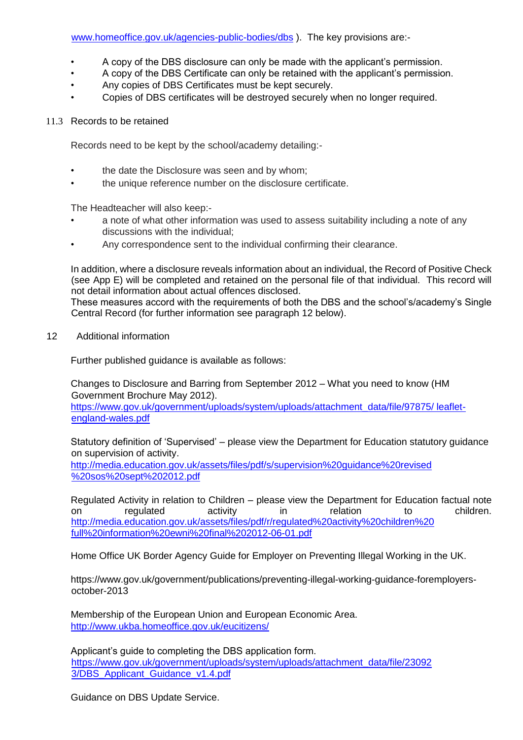- A copy of the DBS disclosure can only be made with the applicant's permission.
- A copy of the DBS Certificate can only be retained with the applicant's permission.
- Any copies of DBS Certificates must be kept securely.
- Copies of DBS certificates will be destroyed securely when no longer required.

# 11.3 Records to be retained

Records need to be kept by the school/academy detailing:-

- the date the Disclosure was seen and by whom;
- the unique reference number on the disclosure certificate.

The Headteacher will also keep:-

- a note of what other information was used to assess suitability including a note of any discussions with the individual;
- Any correspondence sent to the individual confirming their clearance.

In addition, where a disclosure reveals information about an individual, the Record of Positive Check (see App E) will be completed and retained on the personal file of that individual. This record will not detail information about actual offences disclosed.

These measures accord with the requirements of both the DBS and the school's/academy's Single Central Record (for further information see paragraph 12 below).

12 Additional information

Further published guidance is available as follows:

Changes to Disclosure and Barring from September 2012 – What you need to know (HM Government Brochure May 2012).

https://www.gov.uk/government/uploads/system/uploads/attachment\_data/file/97875/ leafletengland-wales.pdf

Statutory definition of 'Supervised' – please view the Department for Education statutory guidance on supervision of activity.

http://media.education.gov.uk/assets/files/pdf/s/supervision%20guidance%20revised %20sos%20sept%202012.pdf

Regulated Activity in relation to Children – please view the Department for Education factual note on regulated activity in relation to children. http://media.education.gov.uk/assets/files/pdf/r/regulated%20activity%20children%20 full%20information%20ewni%20final%202012-06-01.pdf

Home Office UK Border Agency Guide for Employer on Preventing Illegal Working in the UK.

https://www.gov.uk/government/publications/preventing-illegal-working-guidance-foremployersoctober-2013

Membership of the European Union and European Economic Area. http://www.ukba.homeoffice.gov.uk/eucitizens/

Applicant's guide to completing the DBS application form. https://www.gov.uk/government/uploads/system/uploads/attachment\_data/file/23092 3/DBS\_Applicant\_Guidance\_v1.4.pdf

Guidance on DBS Update Service.